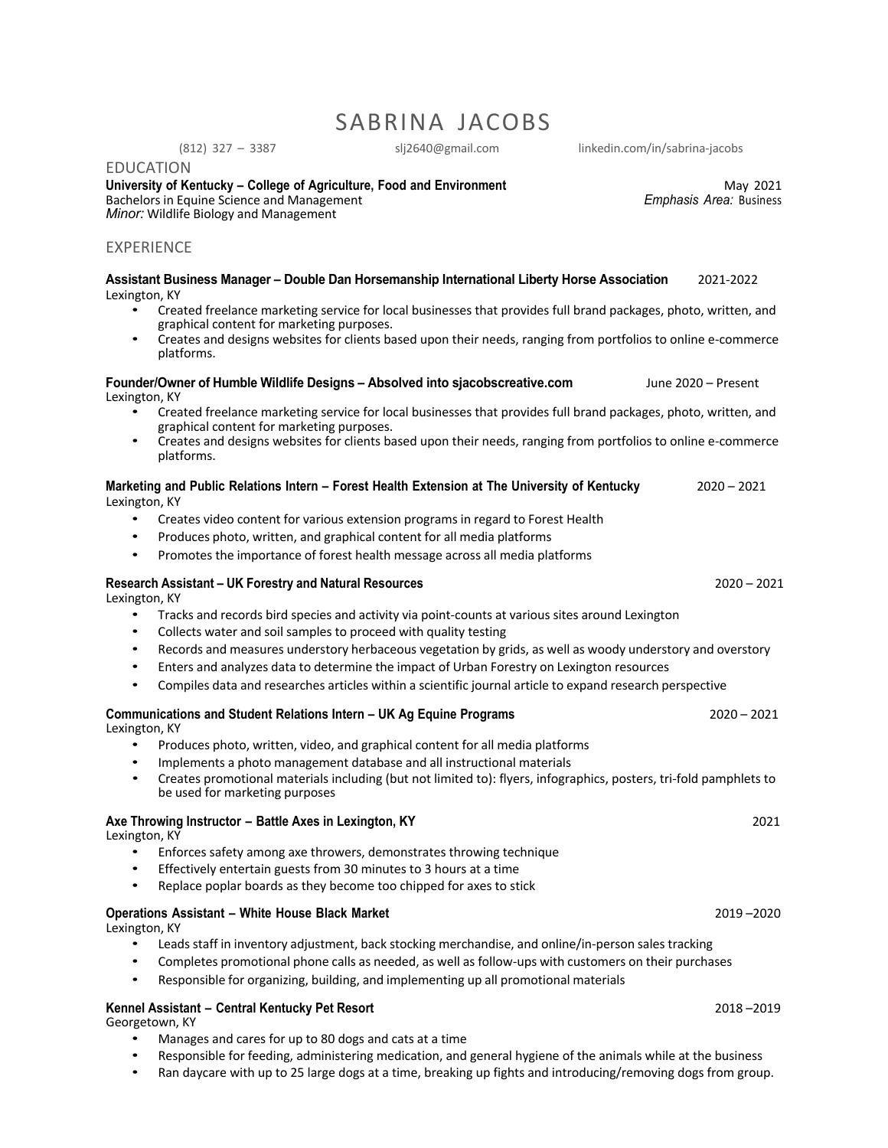## SABRINA JACOBS

(812) 327 – 3387 slj2640@gmail.com linkedin.com/in/sabrina-jacobs

EDUCATION **University of Kentucky – College of Agriculture, Food and Environment** May 2021 Bachelors in Equine Science and Management *Minor:* Wildlife Biology and Management

## EXPERIENCE

| Assistant Business Manager - Double Dan Horsemanship International Liberty Horse Association<br>Lexington, KY                                                                                            | 2021-2022           |
|----------------------------------------------------------------------------------------------------------------------------------------------------------------------------------------------------------|---------------------|
| Created freelance marketing service for local businesses that provides full brand packages, photo, written, and<br>graphical content for marketing purposes.                                             |                     |
| Creates and designs websites for clients based upon their needs, ranging from portfolios to online e-commerce<br>platforms.                                                                              |                     |
| Founder/Owner of Humble Wildlife Designs - Absolved into sjacobscreative.com<br>Lexington, KY                                                                                                            | June 2020 - Present |
| Created freelance marketing service for local businesses that provides full brand packages, photo, written, and<br>graphical content for marketing purposes.                                             |                     |
| Creates and designs websites for clients based upon their needs, ranging from portfolios to online e-commerce<br>platforms.                                                                              |                     |
| Marketing and Public Relations Intern - Forest Health Extension at The University of Kentucky<br>Lexington, KY                                                                                           | $2020 - 2021$       |
| Creates video content for various extension programs in regard to Forest Health<br>$\bullet$                                                                                                             |                     |
| Produces photo, written, and graphical content for all media platforms                                                                                                                                   |                     |
| Promotes the importance of forest health message across all media platforms<br>$\bullet$                                                                                                                 |                     |
| Research Assistant - UK Forestry and Natural Resources<br>Lexington, KY                                                                                                                                  | $2020 - 2021$       |
| Tracks and records bird species and activity via point-counts at various sites around Lexington<br>$\bullet$                                                                                             |                     |
| Collects water and soil samples to proceed with quality testing<br>$\bullet$<br>Records and measures understory herbaceous vegetation by grids, as well as woody understory and overstory<br>$\bullet$   |                     |
| Enters and analyzes data to determine the impact of Urban Forestry on Lexington resources<br>$\bullet$                                                                                                   |                     |
| Compiles data and researches articles within a scientific journal article to expand research perspective<br>$\bullet$                                                                                    |                     |
| Communications and Student Relations Intern – UK Ag Equine Programs<br>Lexington, KY                                                                                                                     | $2020 - 2021$       |
| Produces photo, written, video, and graphical content for all media platforms<br>$\bullet$                                                                                                               |                     |
| Implements a photo management database and all instructional materials<br>$\bullet$                                                                                                                      |                     |
| Creates promotional materials including (but not limited to): flyers, infographics, posters, tri-fold pamphlets to<br>$\bullet$<br>be used for marketing purposes                                        |                     |
| Axe Throwing Instructor - Battle Axes in Lexington, KY<br>Lexington, KY                                                                                                                                  | 2021                |
| Enforces safety among axe throwers, demonstrates throwing technique<br>$\bullet$                                                                                                                         |                     |
| Effectively entertain guests from 30 minutes to 3 hours at a time<br>Replace poplar boards as they become too chipped for axes to stick<br>$\bullet$                                                     |                     |
| <b>Operations Assistant - White House Black Market</b><br>Lexington, KY                                                                                                                                  | 2019-2020           |
| Leads staff in inventory adjustment, back stocking merchandise, and online/in-person sales tracking<br>$\bullet$                                                                                         |                     |
| Completes promotional phone calls as needed, as well as follow-ups with customers on their purchases<br>$\bullet$<br>Responsible for organizing, building, and implementing up all promotional materials |                     |
| Kennel Assistant - Central Kentucky Pet Resort                                                                                                                                                           | 2018-2019           |

Georgetown, KY

- Manages and cares for up to 80 dogs and cats at a time
- Responsible for feeding, administering medication, and general hygiene of the animals while at the business
- Ran daycare with up to 25 large dogs at a time, breaking up fights and introducing/removing dogs from group.